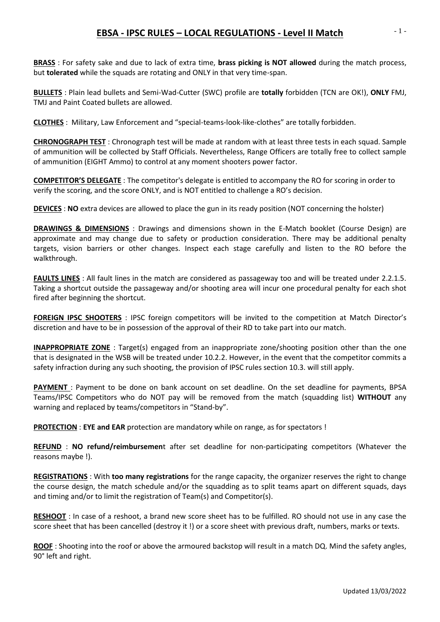## **EBSA - IPSC RULES – LOCAL REGULATIONS - Level II Match**

**BRASS** : For safety sake and due to lack of extra time, **brass picking is NOT allowed** during the match process, but **tolerated** while the squads are rotating and ONLY in that very time-span.

**BULLETS** : Plain lead bullets and Semi-Wad-Cutter (SWC) profile are **totally** forbidden (TCN are OK!), **ONLY** FMJ, TMJ and Paint Coated bullets are allowed.

**CLOTHES** : Military, Law Enforcement and "special-teams-look-like-clothes" are totally forbidden.

**CHRONOGRAPH TEST** : Chronograph test will be made at random with at least three tests in each squad. Sample of ammunition will be collected by Staff Officials. Nevertheless, Range Officers are totally free to collect sample of ammunition (EIGHT Ammo) to control at any moment shooters power factor.

**COMPETITOR'S DELEGATE** : The competitor's delegate is entitled to accompany the RO for scoring in order to verify the scoring, and the score ONLY, and is NOT entitled to challenge a RO's decision.

**DEVICES** : **NO** extra devices are allowed to place the gun in its ready position (NOT concerning the holster)

**DRAWINGS & DIMENSIONS** : Drawings and dimensions shown in the E-Match booklet (Course Design) are approximate and may change due to safety or production consideration. There may be additional penalty targets, vision barriers or other changes. Inspect each stage carefully and listen to the RO before the walkthrough.

**FAULTS LINES** : All fault lines in the match are considered as passageway too and will be treated under 2.2.1.5. Taking a shortcut outside the passageway and/or shooting area will incur one procedural penalty for each shot fired after beginning the shortcut.

**FOREIGN IPSC SHOOTERS** : IPSC foreign competitors will be invited to the competition at Match Director's discretion and have to be in possession of the approval of their RD to take part into our match.

**INAPPROPRIATE ZONE** : Target(s) engaged from an inappropriate zone/shooting position other than the one that is designated in the WSB will be treated under 10.2.2. However, in the event that the competitor commits a safety infraction during any such shooting, the provision of IPSC rules section 10.3. will still apply.

**PAYMENT** : Payment to be done on bank account on set deadline. On the set deadline for payments, BPSA Teams/IPSC Competitors who do NOT pay will be removed from the match (squadding list) **WITHOUT** any warning and replaced by teams/competitors in "Stand-by".

**PROTECTION** : **EYE and EAR** protection are mandatory while on range, as for spectators !

**REFUND** : **NO refund/reimbursemen**t after set deadline for non-participating competitors (Whatever the reasons maybe !).

**REGISTRATIONS** : With **too many registrations** for the range capacity, the organizer reserves the right to change the course design, the match schedule and/or the squadding as to split teams apart on different squads, days and timing and/or to limit the registration of Team(s) and Competitor(s).

**RESHOOT** : In case of a reshoot, a brand new score sheet has to be fulfilled. RO should not use in any case the score sheet that has been cancelled (destroy it !) or a score sheet with previous draft, numbers, marks or texts.

**ROOF** : Shooting into the roof or above the armoured backstop will result in a match DQ. Mind the safety angles, 90° left and right.